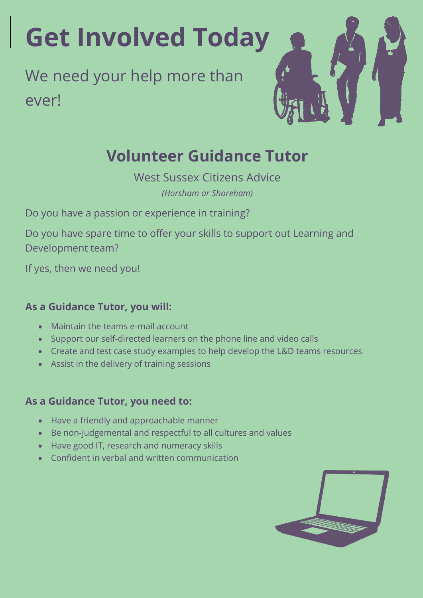# **Get Involved Today**

## We need your help more than ever!



### **Volunteer Guidance Tutor**

West Sussex Citizens Advice *(Horsham or Shoreham)*

Do you have a passion or experience in training?

Do you have spare time to offer your skills to support out Learning and Development team?

If yes, then we need you!

#### **As a Guidance Tutor, you will:**

- Maintain the teams e-mail account
- Support our self-directed learners on the phone line and video calls
- Create and test case study examples to help develop the L&D teams resources
- Assist in the delivery of training sessions

#### **As a Guidance Tutor, you need to:**

- Have a friendly and approachable manner
- Be non-judgemental and respectful to all cultures and values
- Have good IT, research and numeracy skills
- Confident in verbal and written communication